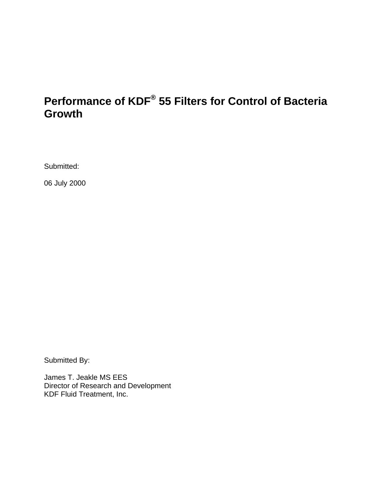# **Performance of KDF® 55 Filters for Control of Bacteria Growth**

Submitted:

06 July 2000

Submitted By:

James T. Jeakle MS EES Director of Research and Development KDF Fluid Treatment, Inc.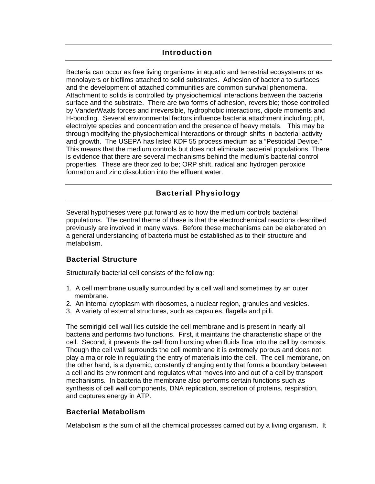## **Introduction**

Bacteria can occur as free living organisms in aquatic and terrestrial ecosystems or as monolayers or biofilms attached to solid substrates. Adhesion of bacteria to surfaces and the development of attached communities are common survival phenomena. Attachment to solids is controlled by physiochemical interactions between the bacteria surface and the substrate. There are two forms of adhesion, reversible; those controlled by VanderWaals forces and irreversible, hydrophobic interactions, dipole moments and H-bonding. Several environmental factors influence bacteria attachment including; pH, electrolyte species and concentration and the presence of heavy metals. This may be through modifying the physiochemical interactions or through shifts in bacterial activity and growth. The USEPA has listed KDF 55 process medium as a "Pesticidal Device." This means that the medium controls but does not eliminate bacterial populations. There is evidence that there are several mechanisms behind the medium's bacterial control properties. These are theorized to be; ORP shift, radical and hydrogen peroxide formation and zinc dissolution into the effluent water.

## **Bacterial Physiology**

Several hypotheses were put forward as to how the medium controls bacterial populations. The central theme of these is that the electrochemical reactions described previously are involved in many ways. Before these mechanisms can be elaborated on a general understanding of bacteria must be established as to their structure and metabolism.

## **Bacterial Structure**

Structurally bacterial cell consists of the following:

- 1. A cell membrane usually surrounded by a cell wall and sometimes by an outer membrane.
- 2. An internal cytoplasm with ribosomes, a nuclear region, granules and vesicles.
- 3. A variety of external structures, such as capsules, flagella and pilli.

The semirigid cell wall lies outside the cell membrane and is present in nearly all bacteria and performs two functions. First, it maintains the characteristic shape of the cell. Second, it prevents the cell from bursting when fluids flow into the cell by osmosis. Though the cell wall surrounds the cell membrane it is extremely porous and does not play a major role in regulating the entry of materials into the cell. The cell membrane, on the other hand, is a dynamic, constantly changing entity that forms a boundary between a cell and its environment and regulates what moves into and out of a cell by transport mechanisms. In bacteria the membrane also performs certain functions such as synthesis of cell wall components, DNA replication, secretion of proteins, respiration, and captures energy in ATP.

## **Bacterial Metabolism**

Metabolism is the sum of all the chemical processes carried out by a living organism. It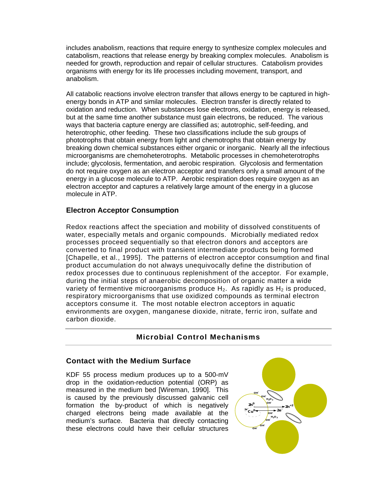includes anabolism, reactions that require energy to synthesize complex molecules and catabolism, reactions that release energy by breaking complex molecules. Anabolism is needed for growth, reproduction and repair of cellular structures. Catabolism provides organisms with energy for its life processes including movement, transport, and anabolism.

All catabolic reactions involve electron transfer that allows energy to be captured in highenergy bonds in ATP and similar molecules. Electron transfer is directly related to oxidation and reduction. When substances lose electrons, oxidation, energy is released, but at the same time another substance must gain electrons, be reduced. The various ways that bacteria capture energy are classified as; autotrophic, self-feeding, and heterotrophic, other feeding. These two classifications include the sub groups of phototrophs that obtain energy from light and chemotrophs that obtain energy by breaking down chemical substances either organic or inorganic. Nearly all the infectious microorganisms are chemoheterotrophs. Metabolic processes in chemoheterotrophs include; glycolosis, fermentation, and aerobic respiration. Glycolosis and fermentation do not require oxygen as an electron acceptor and transfers only a small amount of the energy in a glucose molecule to ATP. Aerobic respiration does require oxygen as an electron acceptor and captures a relatively large amount of the energy in a glucose molecule in ATP.

## **Electron Acceptor Consumption**

Redox reactions affect the speciation and mobility of dissolved constituents of water, especially metals and organic compounds. Microbially mediated redox processes proceed sequentially so that electron donors and acceptors are converted to final product with transient intermediate products being formed [Chapelle, et al., 1995]. The patterns of electron acceptor consumption and final product accumulation do not always unequivocally define the distribution of redox processes due to continuous replenishment of the acceptor. For example, during the initial steps of anaerobic decomposition of organic matter a wide variety of fermentive microorganisms produce  $H_2$ . As rapidly as  $H_2$  is produced, respiratory microorganisms that use oxidized compounds as terminal electron acceptors consume it. The most notable electron acceptors in aquatic environments are oxygen, manganese dioxide, nitrate, ferric iron, sulfate and carbon dioxide.

## **Microbial Control Mechanisms**

#### **Contact with the Medium Surface**

KDF 55 process medium produces up to a 500-mV drop in the oxidation-reduction potential (ORP) as measured in the medium bed [Wireman, 1990]. This is caused by the previously discussed galvanic cell formation the by-product of which is negatively charged electrons being made available at the medium's surface. Bacteria that directly contacting these electrons could have their cellular structures

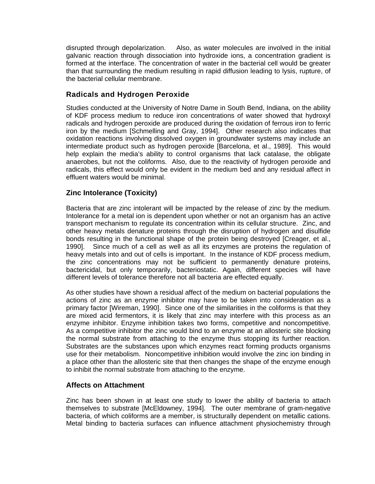disrupted through depolarization. Also, as water molecules are involved in the initial galvanic reaction through dissociation into hydroxide ions, a concentration gradient is formed at the interface. The concentration of water in the bacterial cell would be greater than that surrounding the medium resulting in rapid diffusion leading to lysis, rupture, of the bacterial cellular membrane.

## **Radicals and Hydrogen Peroxide**

Studies conducted at the University of Notre Dame in South Bend, Indiana, on the ability of KDF process medium to reduce iron concentrations of water showed that hydroxyl radicals and hydrogen peroxide are produced during the oxidation of ferrous iron to ferric iron by the medium [Schmelling and Gray, 1994]. Other research also indicates that oxidation reactions involving dissolved oxygen in groundwater systems may include an intermediate product such as hydrogen peroxide [Barcelona, et al., 1989]. This would help explain the media's ability to control organisms that lack catalase, the obligate anaerobes, but not the coliforms. Also, due to the reactivity of hydrogen peroxide and radicals, this effect would only be evident in the medium bed and any residual affect in effluent waters would be minimal.

## **Zinc Intolerance (Toxicity)**

Bacteria that are zinc intolerant will be impacted by the release of zinc by the medium. Intolerance for a metal ion is dependent upon whether or not an organism has an active transport mechanism to regulate its concentration within its cellular structure. Zinc, and other heavy metals denature proteins through the disruption of hydrogen and disulfide bonds resulting in the functional shape of the protein being destroyed [Creager, et al., 1990]. Since much of a cell as well as all its enzymes are proteins the regulation of heavy metals into and out of cells is important. In the instance of KDF process medium, the zinc concentrations may not be sufficient to permanently denature proteins, bactericidal, but only temporarily, bacteriostatic. Again, different species will have different levels of tolerance therefore not all bacteria are effected equally.

As other studies have shown a residual affect of the medium on bacterial populations the actions of zinc as an enzyme inhibitor may have to be taken into consideration as a primary factor [Wireman, 1990]. Since one of the similarities in the coliforms is that they are mixed acid fermentors, it is likely that zinc may interfere with this process as an enzyme inhibitor. Enzyme inhibition takes two forms, competitive and noncompetitive. As a competitive inhibitor the zinc would bind to an enzyme at an allosteric site blocking the normal substrate from attaching to the enzyme thus stopping its further reaction. Substrates are the substances upon which enzymes react forming products organisms use for their metabolism. Noncompetitive inhibition would involve the zinc ion binding in a place other than the allosteric site that then changes the shape of the enzyme enough to inhibit the normal substrate from attaching to the enzyme.

#### **Affects on Attachment**

Zinc has been shown in at least one study to lower the ability of bacteria to attach themselves to substrate [McEldowney, 1994]. The outer membrane of gram-negative bacteria, of which coliforms are a member, is structurally dependent on metallic cations. Metal binding to bacteria surfaces can influence attachment physiochemistry through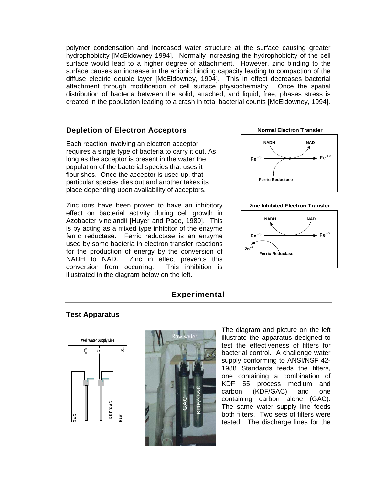polymer condensation and increased water structure at the surface causing greater hydrophobicity [McEldowney 1994]. Normally increasing the hydrophobicity of the cell surface would lead to a higher degree of attachment. However, zinc binding to the surface causes an increase in the anionic binding capacity leading to compaction of the diffuse electric double layer [McEldowney, 1994]. This in effect decreases bacterial attachment through modification of cell surface physiochemistry. Once the spatial distribution of bacteria between the solid, attached, and liquid, free, phases stress is created in the population leading to a crash in total bacterial counts [McEldowney, 1994].

## **Depletion of Electron Acceptors**

Each reaction involving an electron acceptor requires a single type of bacteria to carry it out. As long as the acceptor is present in the water the population of the bacterial species that uses it flourishes. Once the acceptor is used up, that particular species dies out and another takes its place depending upon availability of acceptors.

Zinc ions have been proven to have an inhibitory effect on bacterial activity during cell growth in Azobacter vinelandii [Huyer and Page, 1989]. This is by acting as a mixed type inhibitor of the enzyme ferric reductase. Ferric reductase is an enzyme used by some bacteria in electron transfer reactions for the production of energy by the conversion of NADH to NAD. Zinc in effect prevents this conversion from occurring. This inhibition is illustrated in the diagram below on the left.



#### **Zinc Inhibited Electron Transfer**



## **Experimental**

## **Test Apparatus**





The diagram and picture on the left illustrate the apparatus designed to test the effectiveness of filters for bacterial control. A challenge water supply conforming to ANSI/NSF 42- 1988 Standards feeds the filters, one containing a combination of KDF 55 process medium and carbon (KDF/GAC) and one containing carbon alone (GAC). The same water supply line feeds both filters. Two sets of filters were tested. The discharge lines for the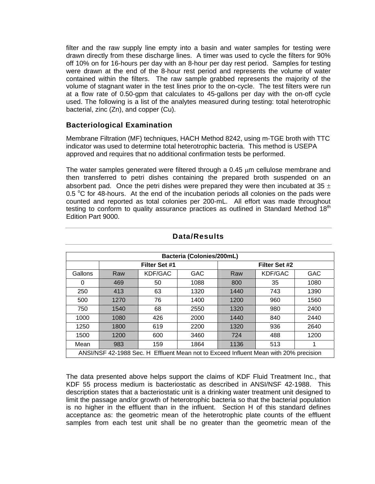bacterial, zinc (Zn), and copper (Cu). filter and the raw supply line empty into a basin and water samples for testing were drawn directly from these discharge lines. A timer was used to cycle the filters for 90% off 10% on for 16-hours per day with an 8-hour per day rest period. Samples for testing were drawn at the end of the 8-hour rest period and represents the volume of water contained within the filters. The raw sample grabbed represents the majority of the volume of stagnant water in the test lines prior to the on-cycle. The test filters were run at a flow rate of 0.50-gpm that calculates to 45-gallons per day with the on-off cycle used. The following is a list of the analytes measured during testing: total heterotrophic

## **Bacteriological Examination**

Membrane Filtration (MF) techniques, HACH Method 8242, using m-TGE broth with TTC indicator was used to determine total heterotrophic bacteria. This method is USEPA approved and requires that no additional confirmation tests be performed.

The water samples generated were filtered through a 0.45  $\mu$ m cellulose membrane and then transferred to petri dishes containing the prepared broth suspended on an absorbent pad. Once the petri dishes were prepared they were then incubated at 35  $\pm$ 0.5  $\degree$ C for 48-hours. At the end of the incubation periods all colonies on the pads were counted and reported as total colonies per 200-mL. All effort was made throughout testing to conform to quality assurance practices as outlined in Standard Method  $18<sup>th</sup>$ Edition Part 9000.

| Bacteria (Colonies/200mL)                                                            |      |               |      |               |         |            |  |
|--------------------------------------------------------------------------------------|------|---------------|------|---------------|---------|------------|--|
|                                                                                      |      | Filter Set #1 |      | Filter Set #2 |         |            |  |
| Gallons                                                                              | Raw  | KDF/GAC       | GAC  | Raw           | KDF/GAC | <b>GAC</b> |  |
| 0                                                                                    | 469  | 50            | 1088 | 800           | 35      | 1080       |  |
| 250                                                                                  | 413  | 63            | 1320 | 1440          | 743     | 1390       |  |
| 500                                                                                  | 1270 | 76            | 1400 | 1200          | 960     | 1560       |  |
| 750                                                                                  | 1540 | 68            | 2550 | 1320          | 980     | 2400       |  |
| 1000                                                                                 | 1080 | 426           | 2000 | 1440          | 840     | 2440       |  |
| 1250                                                                                 | 1800 | 619           | 2200 | 1320          | 936     | 2640       |  |
| 1500                                                                                 | 1200 | 600           | 3460 | 724           | 488     | 1200       |  |
| Mean                                                                                 | 983  | 159           | 1864 | 1136          | 513     |            |  |
| ANSI/NSF 42-1988 Sec. H Effluent Mean not to Exceed Influent Mean with 20% precision |      |               |      |               |         |            |  |

## **Data/Results**

The data presented above helps support the claims of KDF Fluid Treatment Inc., that KDF 55 process medium is bacteriostatic as described in ANSI/NSF 42-1988. This description states that a bacteriostatic unit is a drinking water treatment unit designed to limit the passage and/or growth of heterotrophic bacteria so that the bacterial population is no higher in the effluent than in the influent. Section H of this standard defines acceptance as: the geometric mean of the heterotrophic plate counts of the effluent samples from each test unit shall be no greater than the geometric mean of the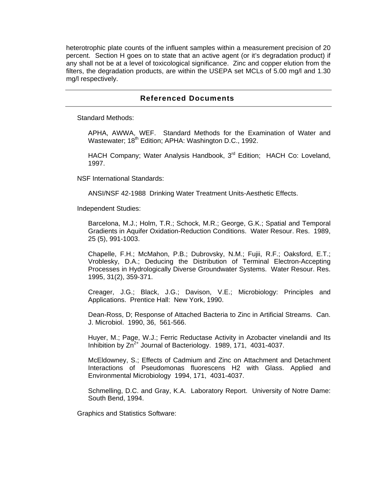heterotrophic plate counts of the influent samples within a measurement precision of 20 percent. Section H goes on to state that an active agent (or it's degradation product) if any shall not be at a level of toxicological significance. Zinc and copper elution from the filters, the degradation products, are within the USEPA set MCLs of 5.00 mg/l and 1.30 mg/l respectively.

### **Referenced Documents**

Standard Methods:

APHA, AWWA, WEF. Standard Methods for the Examination of Water and Wastewater; 18<sup>th</sup> Edition; APHA: Washington D.C., 1992.

HACH Company; Water Analysis Handbook, 3<sup>rd</sup> Edition; HACH Co: Loveland, 1997.

NSF International Standards:

ANSI/NSF 42-1988 Drinking Water Treatment Units-Aesthetic Effects.

Independent Studies:

Barcelona, M.J.; Holm, T.R.; Schock, M.R.; George, G.K.; Spatial and Temporal Gradients in Aquifer Oxidation-Reduction Conditions. Water Resour. Res. 1989, 25 (5), 991-1003.

Chapelle, F.H.; McMahon, P.B.; Dubrovsky, N.M.; Fujii, R.F.; Oaksford, E.T.; Vroblesky, D.A.; Deducing the Distribution of Terminal Electron-Accepting Processes in Hydrologically Diverse Groundwater Systems. Water Resour. Res. 1995, 31(2), 359-371.

Creager, J.G.; Black, J.G.; Davison, V.E.; Microbiology: Principles and Applications. Prentice Hall: New York, 1990.

Dean-Ross, D; Response of Attached Bacteria to Zinc in Artificial Streams. Can. J. Microbiol. 1990, 36, 561-566.

Huyer, M.; Page, W.J.; Ferric Reductase Activity in Azobacter vinelandii and Its Inhibition by  $Zn^{2+}$  Journal of Bacteriology. 1989, 171, 4031-4037.

McEldowney, S.; Effects of Cadmium and Zinc on Attachment and Detachment Interactions of Pseudomonas fluorescens H2 with Glass. Applied and Environmental Microbiology 1994, 171, 4031-4037.

Schmelling, D.C. and Gray, K.A. Laboratory Report. University of Notre Dame: South Bend, 1994.

Graphics and Statistics Software: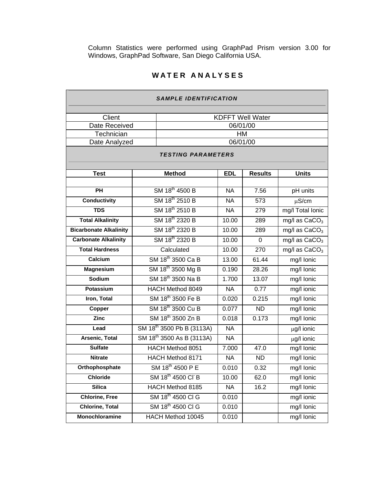Column Statistics were performed using GraphPad Prism version 3.00 for Windows, GraphPad Software, San Diego California USA.

## **WATER ANALYSES**

| <i>SAMPLE IDENTIFICATION</i>  |  |                                       |            |                |                           |  |  |
|-------------------------------|--|---------------------------------------|------------|----------------|---------------------------|--|--|
| Client                        |  | <b>KDFFT Well Water</b>               |            |                |                           |  |  |
| Date Received                 |  | 06/01/00                              |            |                |                           |  |  |
| Technician                    |  | HM                                    |            |                |                           |  |  |
| Date Analyzed                 |  | 06/01/00                              |            |                |                           |  |  |
| <b>TESTING PARAMETERS</b>     |  |                                       |            |                |                           |  |  |
|                               |  |                                       |            |                |                           |  |  |
| <b>Test</b>                   |  | <b>Method</b>                         | <b>EDL</b> | <b>Results</b> | <b>Units</b>              |  |  |
| PH                            |  | SM 18 <sup>th</sup> 4500 B            | <b>NA</b>  | 7.56           | pH units                  |  |  |
| <b>Conductivity</b>           |  | SM 18 <sup>th</sup> 2510 B            | <b>NA</b>  | 573            | $\mu$ S/cm                |  |  |
| <b>TDS</b>                    |  | SM 18 <sup>th</sup> 2510 B            | <b>NA</b>  | 279            | mg/I Total Ionic          |  |  |
| <b>Total Alkalinity</b>       |  | SM 18 <sup>th</sup> 2320 B            | 10.00      | 289            | $mg/l$ as $CaCO3$         |  |  |
| <b>Bicarbonate Alkalinity</b> |  | SM 18 <sup>th</sup> 2320 B            | 10.00      | 289            | mg/l as CaCO <sub>3</sub> |  |  |
| <b>Carbonate Alkalinity</b>   |  | SM 18 <sup>th</sup> 2320 B            | 10.00      | 0              | mg/l as CaCO <sub>3</sub> |  |  |
| <b>Total Hardness</b>         |  | Calculated                            | 10.00      | 270            | mg/l as $CaCO3$           |  |  |
| Calcium                       |  | SM 18 <sup>th</sup> 3500 Ca B         | 13.00      | 61.44          | mg/I Ionic                |  |  |
| <b>Magnesium</b>              |  | SM 18 <sup>th</sup> 3500 Mg B         | 0.190      | 28.26          | mg/I Ionic                |  |  |
| Sodium                        |  | SM 18 <sup>th</sup> 3500 Na B         | 1.700      | 13.07          | mg/I Ionic                |  |  |
| Potassium                     |  | HACH Method 8049                      | <b>NA</b>  | 0.77           | mg/l ionic                |  |  |
| Iron, Total                   |  | SM 18 <sup>th</sup> 3500 Fe B         | 0.020      | 0.215          | mg/I Ionic                |  |  |
| Copper                        |  | SM 18 <sup>th</sup> 3500 Cu B         | 0.077      | <b>ND</b>      | mg/I Ionic                |  |  |
| <b>Zinc</b>                   |  | SM 18 <sup>th</sup> 3500 Zn B         | 0.018      | 0.173          | mg/I Ionic                |  |  |
| Lead                          |  | SM 18 <sup>th</sup> 3500 Pb B (3113A) | <b>NA</b>  |                | µg/l ionic                |  |  |
| Arsenic, Total                |  | SM 18 <sup>th</sup> 3500 As B (3113A) | <b>NA</b>  |                | µg/l ionic                |  |  |
| <b>Sulfate</b>                |  | HACH Method 8051                      | 7.000      | 47.0           | mg/l lonic                |  |  |
| <b>Nitrate</b>                |  | HACH Method 8171                      | <b>NA</b>  | <b>ND</b>      | mg/I Ionic                |  |  |
| Orthophosphate                |  | SM 18 <sup>th</sup> 4500 P E          | 0.010      | 0.32           | mg/I Ionic                |  |  |
| <b>Chloride</b>               |  | SM 18 <sup>th</sup> 4500 CI B         | 10.00      | 62.0           | mg/I Ionic                |  |  |
| <b>Silica</b>                 |  | <b>HACH Method 8185</b>               | <b>NA</b>  | 16.2           | mg/I Ionic                |  |  |
| <b>Chlorine, Free</b>         |  | SM 18 <sup>th</sup> 4500 CI G         | 0.010      |                | mg/l ionic                |  |  |
| <b>Chlorine, Total</b>        |  | SM 18 <sup>th</sup> 4500 CI G         | 0.010      |                | mg/I Ionic                |  |  |
| Monochloramine                |  | HACH Method 10045                     | 0.010      |                | mg/I Ionic                |  |  |